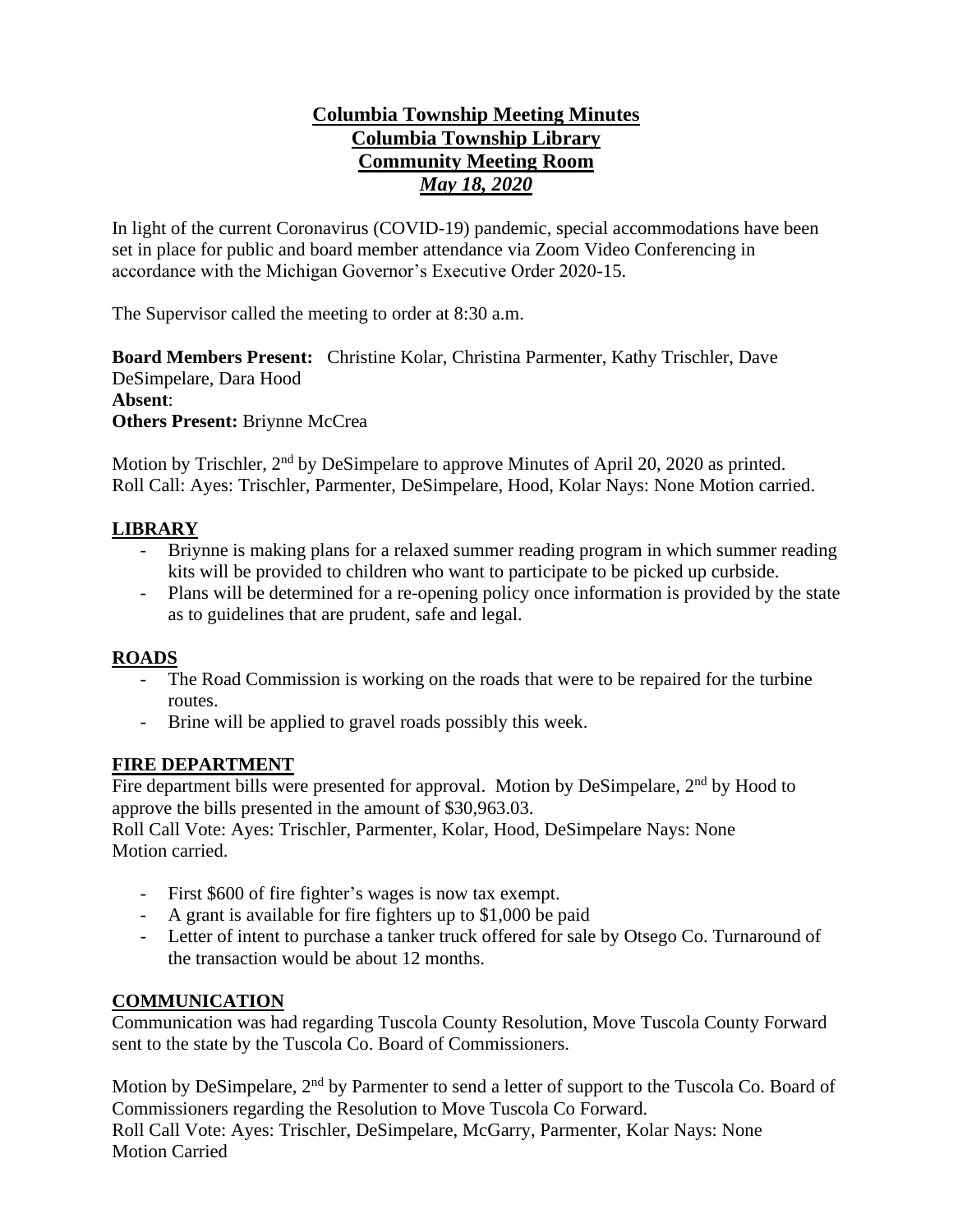# **Columbia Township Meeting Minutes Columbia Township Library Community Meeting Room** *May 18, 2020*

In light of the current Coronavirus (COVID-19) pandemic, special accommodations have been set in place for public and board member attendance via Zoom Video Conferencing in accordance with the Michigan Governor's Executive Order 2020-15.

The Supervisor called the meeting to order at 8:30 a.m.

**Board Members Present:** Christine Kolar, Christina Parmenter, Kathy Trischler, Dave DeSimpelare, Dara Hood **Absent**: **Others Present:** Briynne McCrea

Motion by Trischler, 2<sup>nd</sup> by DeSimpelare to approve Minutes of April 20, 2020 as printed. Roll Call: Ayes: Trischler, Parmenter, DeSimpelare, Hood, Kolar Nays: None Motion carried.

# **LIBRARY**

- Briynne is making plans for a relaxed summer reading program in which summer reading kits will be provided to children who want to participate to be picked up curbside.
- Plans will be determined for a re-opening policy once information is provided by the state as to guidelines that are prudent, safe and legal.

# **ROADS**

- The Road Commission is working on the roads that were to be repaired for the turbine routes.
- Brine will be applied to gravel roads possibly this week.

#### **FIRE DEPARTMENT**

Fire department bills were presented for approval. Motion by DeSimpelare,  $2<sup>nd</sup>$  by Hood to approve the bills presented in the amount of \$30,963.03.

Roll Call Vote: Ayes: Trischler, Parmenter, Kolar, Hood, DeSimpelare Nays: None Motion carried.

- First \$600 of fire fighter's wages is now tax exempt.
- A grant is available for fire fighters up to \$1,000 be paid
- Letter of intent to purchase a tanker truck offered for sale by Otsego Co. Turnaround of the transaction would be about 12 months.

# **COMMUNICATION**

Communication was had regarding Tuscola County Resolution, Move Tuscola County Forward sent to the state by the Tuscola Co. Board of Commissioners.

Motion by DeSimpelare, 2<sup>nd</sup> by Parmenter to send a letter of support to the Tuscola Co. Board of Commissioners regarding the Resolution to Move Tuscola Co Forward. Roll Call Vote: Ayes: Trischler, DeSimpelare, McGarry, Parmenter, Kolar Nays: None Motion Carried